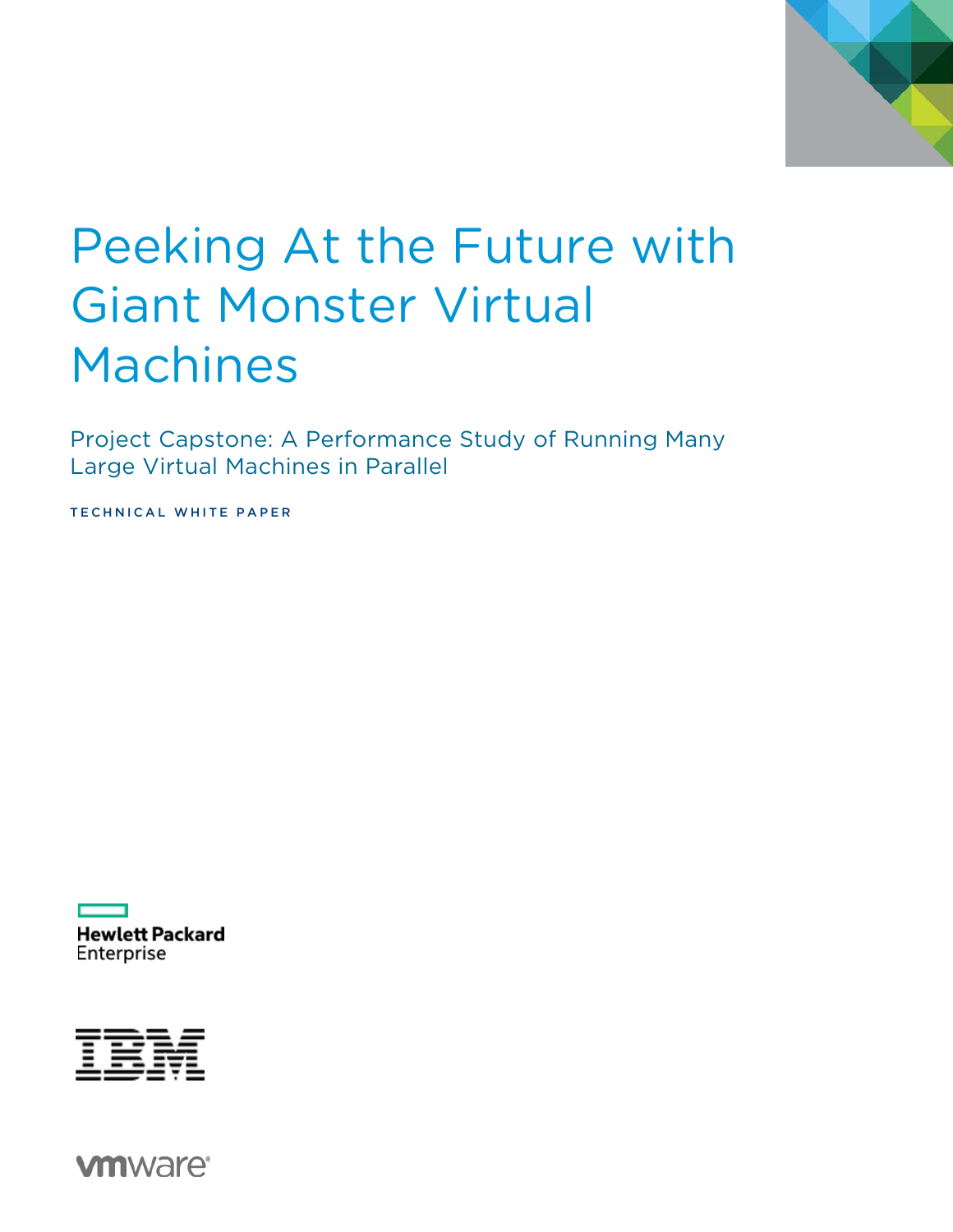

# Peeking At the Future with Giant Monster Virtual Machines

Project Capstone: A Performance Study of Running Many Large Virtual Machines in Parallel

TECHNICAL WHITE PAPER

**Hewlett Packard** Enterprise



**vm**ware<sup>®</sup>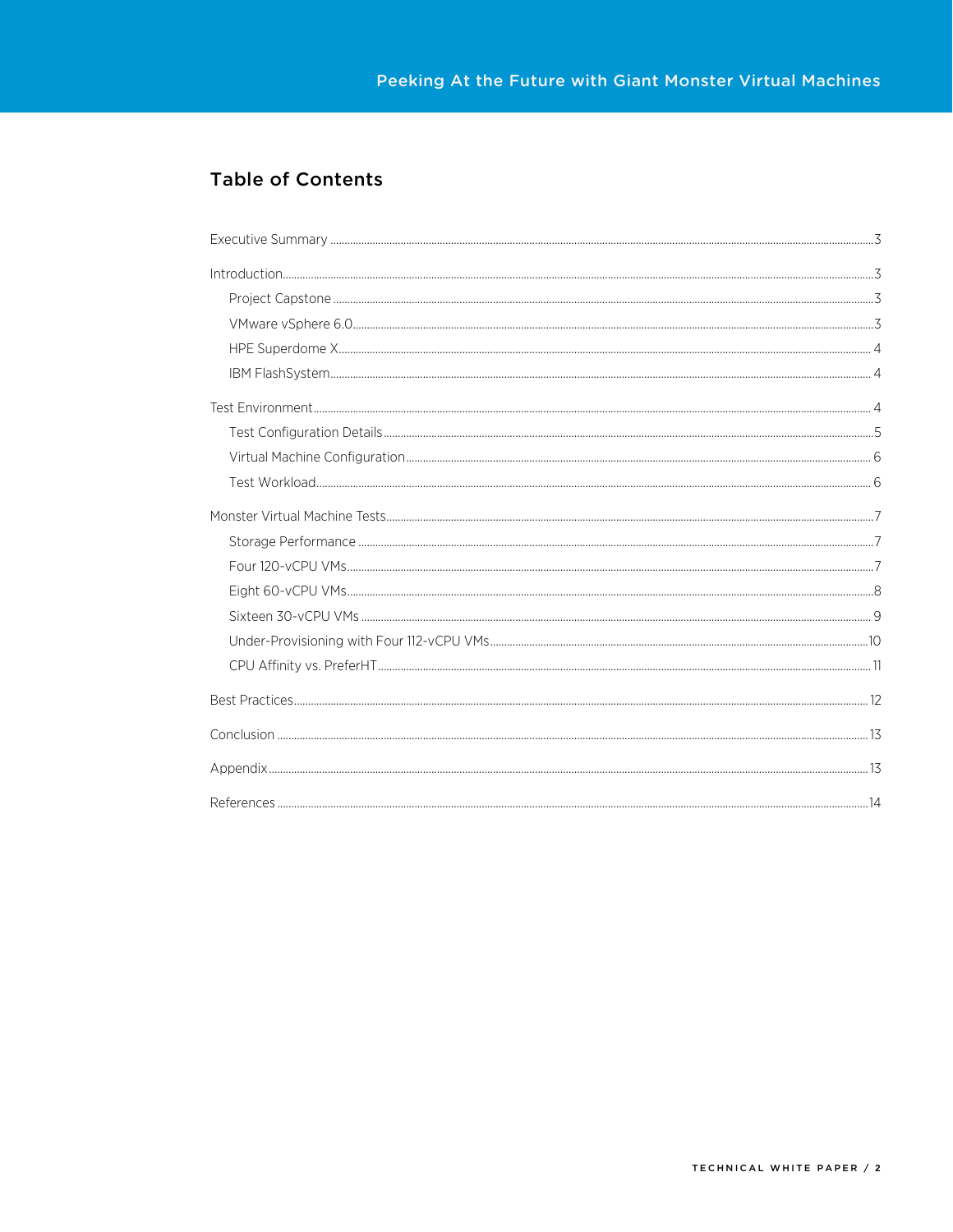### **Table of Contents**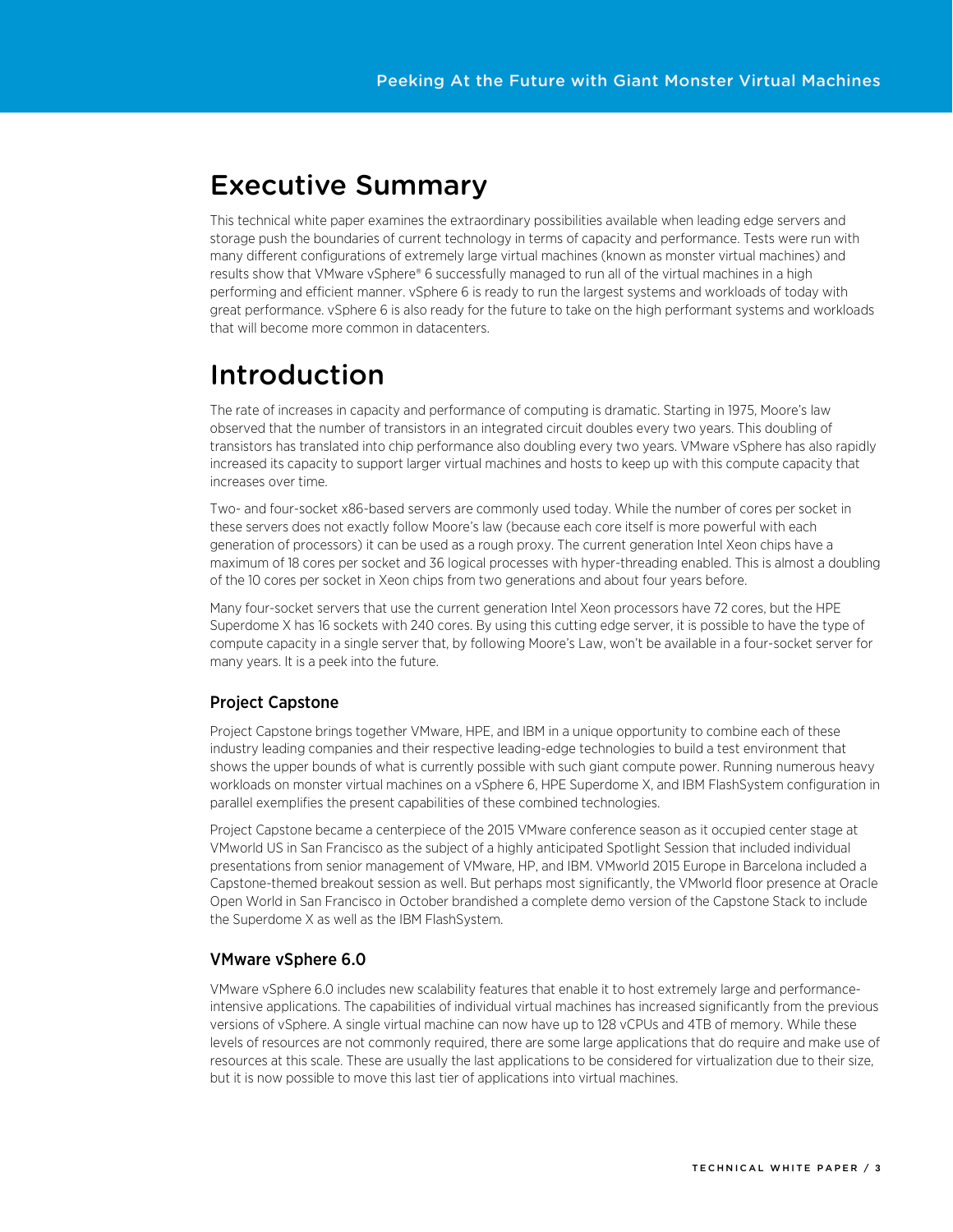### <span id="page-2-0"></span>Executive Summary

This technical white paper examines the extraordinary possibilities available when leading edge servers and storage push the boundaries of current technology in terms of capacity and performance. Tests were run with many different configurations of extremely large virtual machines (known as monster virtual machines) and results show that VMware vSphere® 6 successfully managed to run all of the virtual machines in a high performing and efficient manner. vSphere 6 is ready to run the largest systems and workloads of today with great performance. vSphere 6 is also ready for the future to take on the high performant systems and workloads that will become more common in datacenters.

# <span id="page-2-1"></span>Introduction

The rate of increases in capacity and performance of computing is dramatic. Starting in 1975, Moore's law observed that the number of transistors in an integrated circuit doubles every two years. This doubling of transistors has translated into chip performance also doubling every two years. VMware vSphere has also rapidly increased its capacity to support larger virtual machines and hosts to keep up with this compute capacity that increases over time.

Two- and four-socket x86-based servers are commonly used today. While the number of cores per socket in these servers does not exactly follow Moore's law (because each core itself is more powerful with each generation of processors) it can be used as a rough proxy. The current generation Intel Xeon chips have a maximum of 18 cores per socket and 36 logical processes with hyper-threading enabled. This is almost a doubling of the 10 cores per socket in Xeon chips from two generations and about four years before.

Many four-socket servers that use the current generation Intel Xeon processors have 72 cores, but the HPE Superdome X has 16 sockets with 240 cores. By using this cutting edge server, it is possible to have the type of compute capacity in a single server that, by following Moore's Law, won't be available in a four-socket server for many years. It is a peek into the future.

### <span id="page-2-2"></span>Project Capstone

Project Capstone brings together VMware, HPE, and IBM in a unique opportunity to combine each of these industry leading companies and their respective leading-edge technologies to build a test environment that shows the upper bounds of what is currently possible with such giant compute power. Running numerous heavy workloads on monster virtual machines on a vSphere 6, HPE Superdome X, and IBM FlashSystem configuration in parallel exemplifies the present capabilities of these combined technologies.

Project Capstone became a centerpiece of the 2015 VMware conference season as it occupied center stage at VMworld US in San Francisco as the subject of a highly anticipated Spotlight Session that included individual presentations from senior management of VMware, HP, and IBM. VMworld 2015 Europe in Barcelona included a Capstone-themed breakout session as well. But perhaps most significantly, the VMworld floor presence at Oracle Open World in San Francisco in October brandished a complete demo version of the Capstone Stack to include the Superdome X as well as the IBM FlashSystem.

### <span id="page-2-3"></span>VMware vSphere 6.0

VMware vSphere 6.0 includes new scalability features that enable it to host extremely large and performanceintensive applications. The capabilities of individual virtual machines has increased significantly from the previous versions of vSphere. A single virtual machine can now have up to 128 vCPUs and 4TB of memory. While these levels of resources are not commonly required, there are some large applications that do require and make use of resources at this scale. These are usually the last applications to be considered for virtualization due to their size, but it is now possible to move this last tier of applications into virtual machines.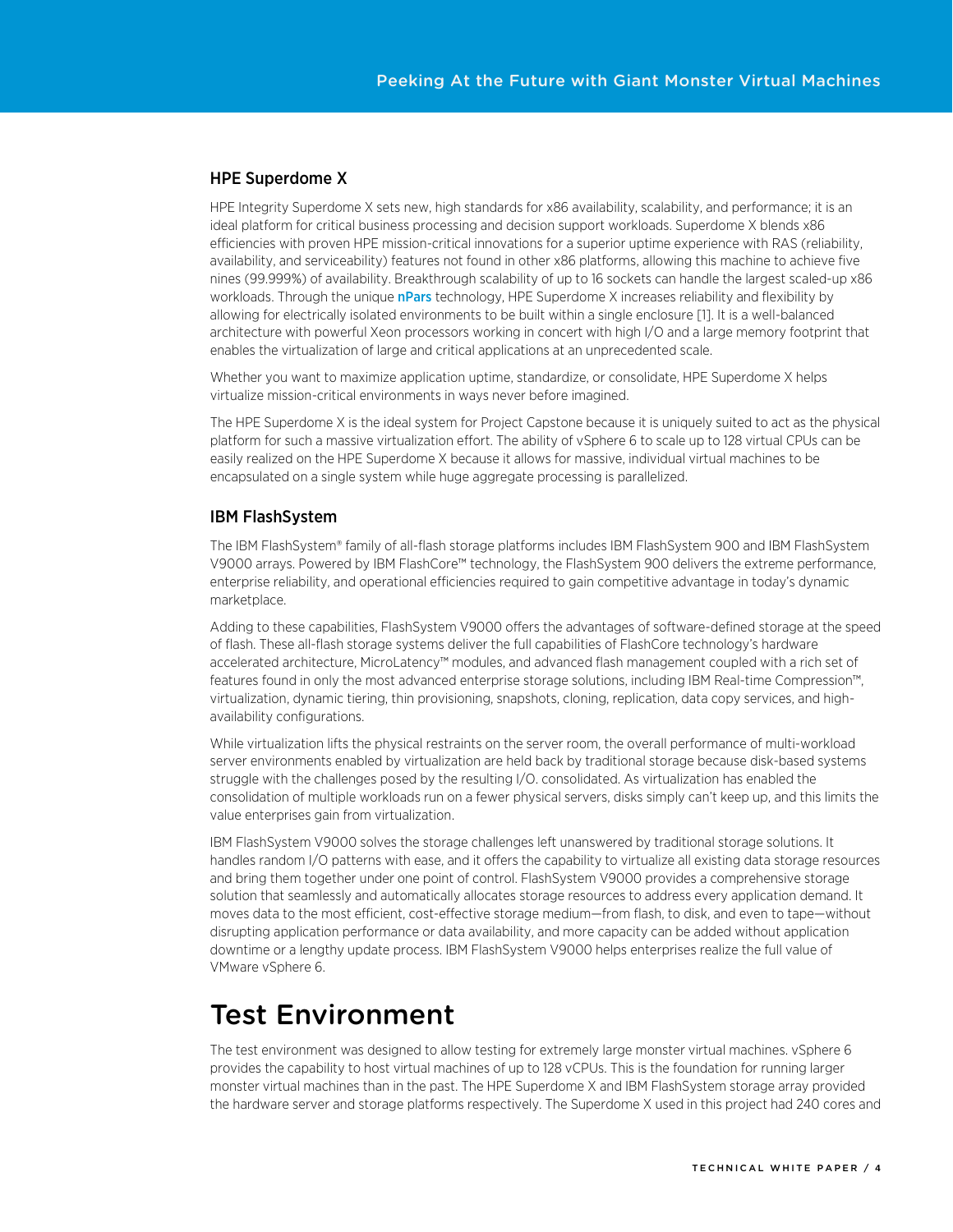#### <span id="page-3-0"></span>HPE Superdome X

HPE Integrity Superdome X sets new, high standards for x86 availability, scalability, and performance; it is an ideal platform for critical business processing and decision support workloads. Superdome X blends x86 efficiencies with proven HPE mission-critical innovations for a superior uptime experience with RAS (reliability, availability, and serviceability) features not found in other x86 platforms, allowing this machine to achieve five nines (99.999%) of availability. Breakthrough scalability of up to 16 sockets can handle the largest scaled-up x86 workloads. Through the unique [nPars](http://www8.hp.com/h20195/v2/GetPDF.aspx/c04123352.pdf) technology, HPE Superdome X increases reliability and flexibility by allowing for electrically isolated environments to be built within a single enclosure [\[1\]](#page-13-0). It is a well-balanced architecture with powerful Xeon processors working in concert with high I/O and a large memory footprint that enables the virtualization of large and critical applications at an unprecedented scale.

Whether you want to maximize application uptime, standardize, or consolidate, HPE Superdome X helps virtualize mission-critical environments in ways never before imagined.

The HPE Superdome X is the ideal system for Project Capstone because it is uniquely suited to act as the physical platform for such a massive virtualization effort. The ability of vSphere 6 to scale up to 128 virtual CPUs can be easily realized on the HPE Superdome X because it allows for massive, individual virtual machines to be encapsulated on a single system while huge aggregate processing is parallelized.

#### <span id="page-3-1"></span>IBM FlashSystem

The IBM FlashSystem® family of all-flash storage platforms includes IBM FlashSystem 900 and IBM FlashSystem V9000 arrays. Powered by IBM FlashCore™ technology, the FlashSystem 900 delivers the extreme performance, enterprise reliability, and operational efficiencies required to gain competitive advantage in today's dynamic marketplace.

Adding to these capabilities, FlashSystem V9000 offers the advantages of software-defined storage at the speed of flash. These all-flash storage systems deliver the full capabilities of FlashCore technology's hardware accelerated architecture, MicroLatency™ modules, and advanced flash management coupled with a rich set of features found in only the most advanced enterprise storage solutions, including IBM Real-time Compression™, virtualization, dynamic tiering, thin provisioning, snapshots, cloning, replication, data copy services, and highavailability configurations.

While virtualization lifts the physical restraints on the server room, the overall performance of multi-workload server environments enabled by virtualization are held back by traditional storage because disk-based systems struggle with the challenges posed by the resulting I/O. consolidated. As virtualization has enabled the consolidation of multiple workloads run on a fewer physical servers, disks simply can't keep up, and this limits the value enterprises gain from virtualization.

IBM FlashSystem V9000 solves the storage challenges left unanswered by traditional storage solutions. It handles random I/O patterns with ease, and it offers the capability to virtualize all existing data storage resources and bring them together under one point of control. FlashSystem V9000 provides a comprehensive storage solution that seamlessly and automatically allocates storage resources to address every application demand. It moves data to the most efficient, cost-effective storage medium—from flash, to disk, and even to tape—without disrupting application performance or data availability, and more capacity can be added without application downtime or a lengthy update process. IBM FlashSystem V9000 helps enterprises realize the full value of VMware vSphere 6.

### <span id="page-3-2"></span>Test Environment

The test environment was designed to allow testing for extremely large monster virtual machines. vSphere 6 provides the capability to host virtual machines of up to 128 vCPUs. This is the foundation for running larger monster virtual machines than in the past. The HPE Superdome X and IBM FlashSystem storage array provided the hardware server and storage platforms respectively. The Superdome X used in this project had 240 cores and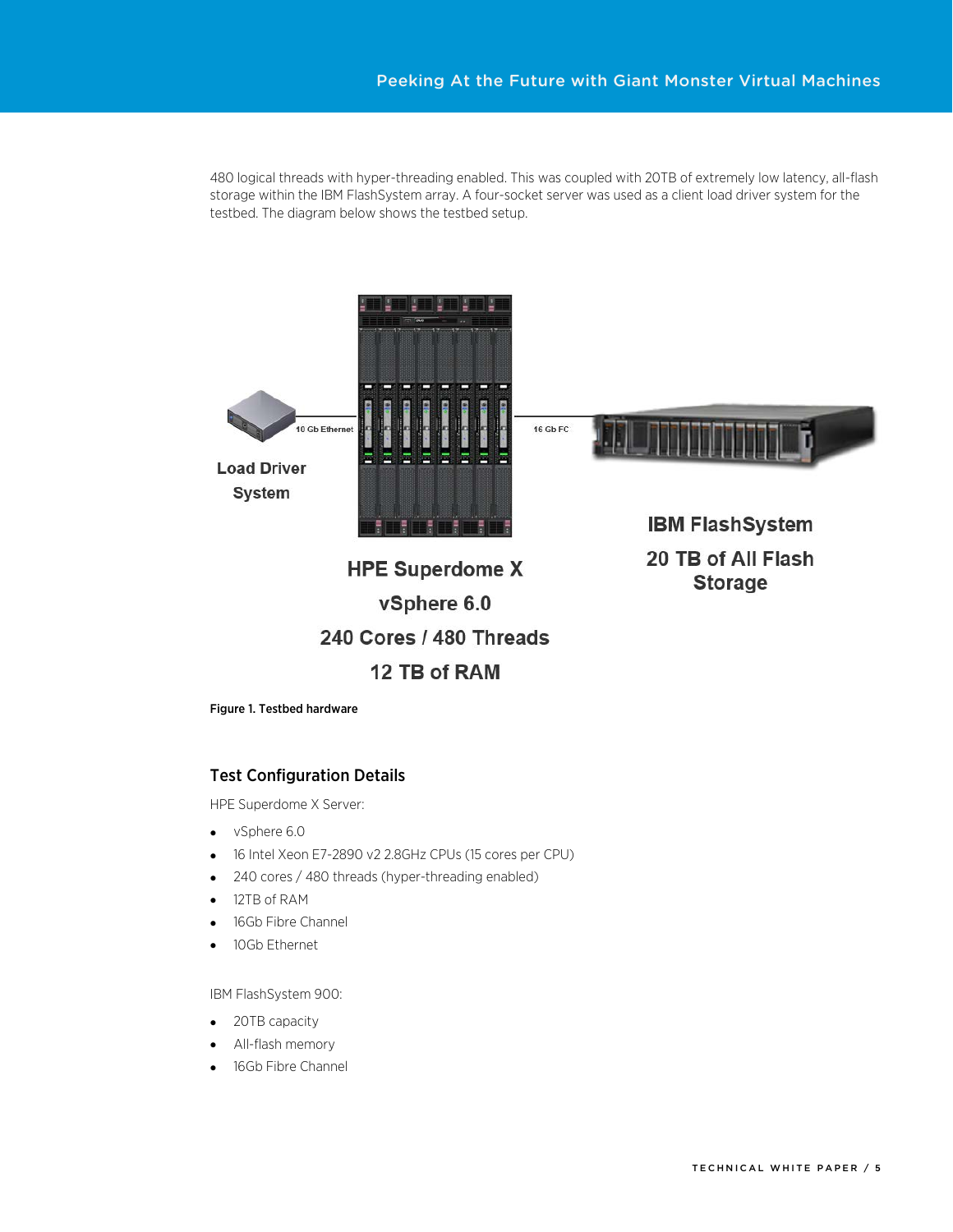480 logical threads with hyper-threading enabled. This was coupled with 20TB of extremely low latency, all-flash storage within the IBM FlashSystem array. A four-socket server was used as a client load driver system for the testbed. The diagram below shows the testbed setup.



Figure 1. Testbed hardware

#### <span id="page-4-0"></span>Test Configuration Details

HPE Superdome X Server:

- vSphere 6.0
- 16 Intel Xeon E7-2890 v2 2.8GHz CPUs (15 cores per CPU)
- 240 cores / 480 threads (hyper-threading enabled)
- 12TB of RAM
- 16Gb Fibre Channel
- 10Gb Ethernet

IBM FlashSystem 900:

- 20TB capacity
- All-flash memory
- 16Gb Fibre Channel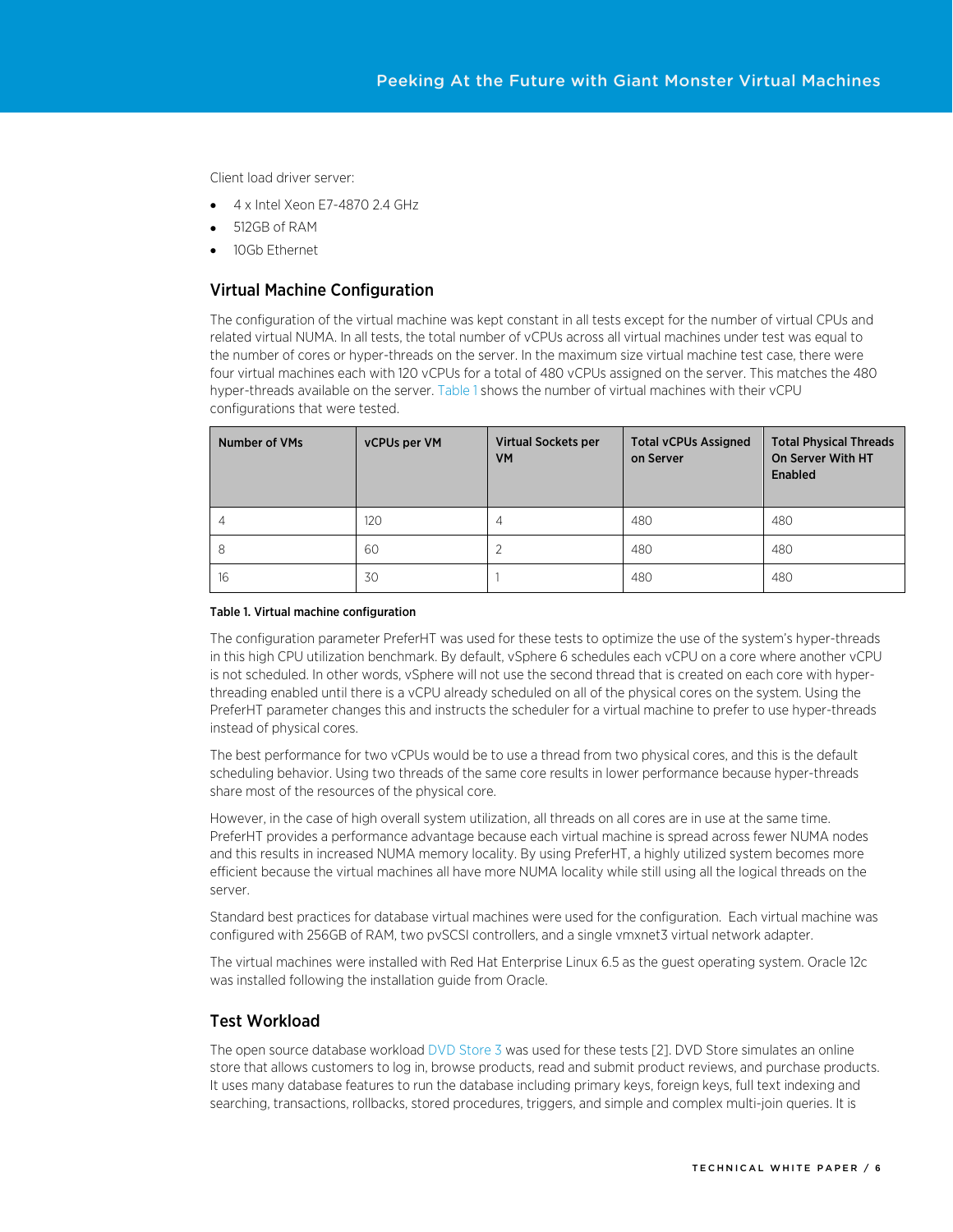Client load driver server:

- 4 x Intel Xeon E7-4870 2.4 GHz
- 512GB of RAM
- 10Gb Ethernet

#### <span id="page-5-0"></span>Virtual Machine Configuration

The configuration of the virtual machine was kept constant in all tests except for the number of virtual CPUs and related virtual NUMA. In all tests, the total number of vCPUs across all virtual machines under test was equal to the number of cores or hyper-threads on the server. In the maximum size virtual machine test case, there were four virtual machines each with 120 vCPUs for a total of 480 vCPUs assigned on the server. This matches the 480 hyper-threads available on the server[. Table 1](#page-5-2) shows the number of virtual machines with their vCPU configurations that were tested.

| <b>Number of VMs</b> | vCPUs per VM | <b>Virtual Sockets per</b><br><b>VM</b> | <b>Total vCPUs Assigned</b><br>on Server | <b>Total Physical Threads</b><br>On Server With HT<br>Enabled |
|----------------------|--------------|-----------------------------------------|------------------------------------------|---------------------------------------------------------------|
| 4                    | 120          |                                         | 480                                      | 480                                                           |
| 8                    | 60           |                                         | 480                                      | 480                                                           |
| 16                   | 30           |                                         | 480                                      | 480                                                           |

#### <span id="page-5-2"></span>Table 1. Virtual machine configuration

The configuration parameter PreferHT was used for these tests to optimize the use of the system's hyper-threads in this high CPU utilization benchmark. By default, vSphere 6 schedules each vCPU on a core where another vCPU is not scheduled. In other words, vSphere will not use the second thread that is created on each core with hyperthreading enabled until there is a vCPU already scheduled on all of the physical cores on the system. Using the PreferHT parameter changes this and instructs the scheduler for a virtual machine to prefer to use hyper-threads instead of physical cores.

The best performance for two vCPUs would be to use a thread from two physical cores, and this is the default scheduling behavior. Using two threads of the same core results in lower performance because hyper-threads share most of the resources of the physical core.

However, in the case of high overall system utilization, all threads on all cores are in use at the same time. PreferHT provides a performance advantage because each virtual machine is spread across fewer NUMA nodes and this results in increased NUMA memory locality. By using PreferHT, a highly utilized system becomes more efficient because the virtual machines all have more NUMA locality while still using all the logical threads on the server.

Standard best practices for database virtual machines were used for the configuration. Each virtual machine was configured with 256GB of RAM, two pvSCSI controllers, and a single vmxnet3 virtual network adapter.

The virtual machines were installed with Red Hat Enterprise Linux 6.5 as the guest operating system. Oracle 12c was installed following the installation guide from Oracle.

#### <span id="page-5-1"></span>Test Workload

The open source database workloa[d DVD Store 3](http://www.github.com/dvdstore/ds3) was used for these tests [\[2\]](#page-13-1). DVD Store simulates an online store that allows customers to log in, browse products, read and submit product reviews, and purchase products. It uses many database features to run the database including primary keys, foreign keys, full text indexing and searching, transactions, rollbacks, stored procedures, triggers, and simple and complex multi-join queries. It is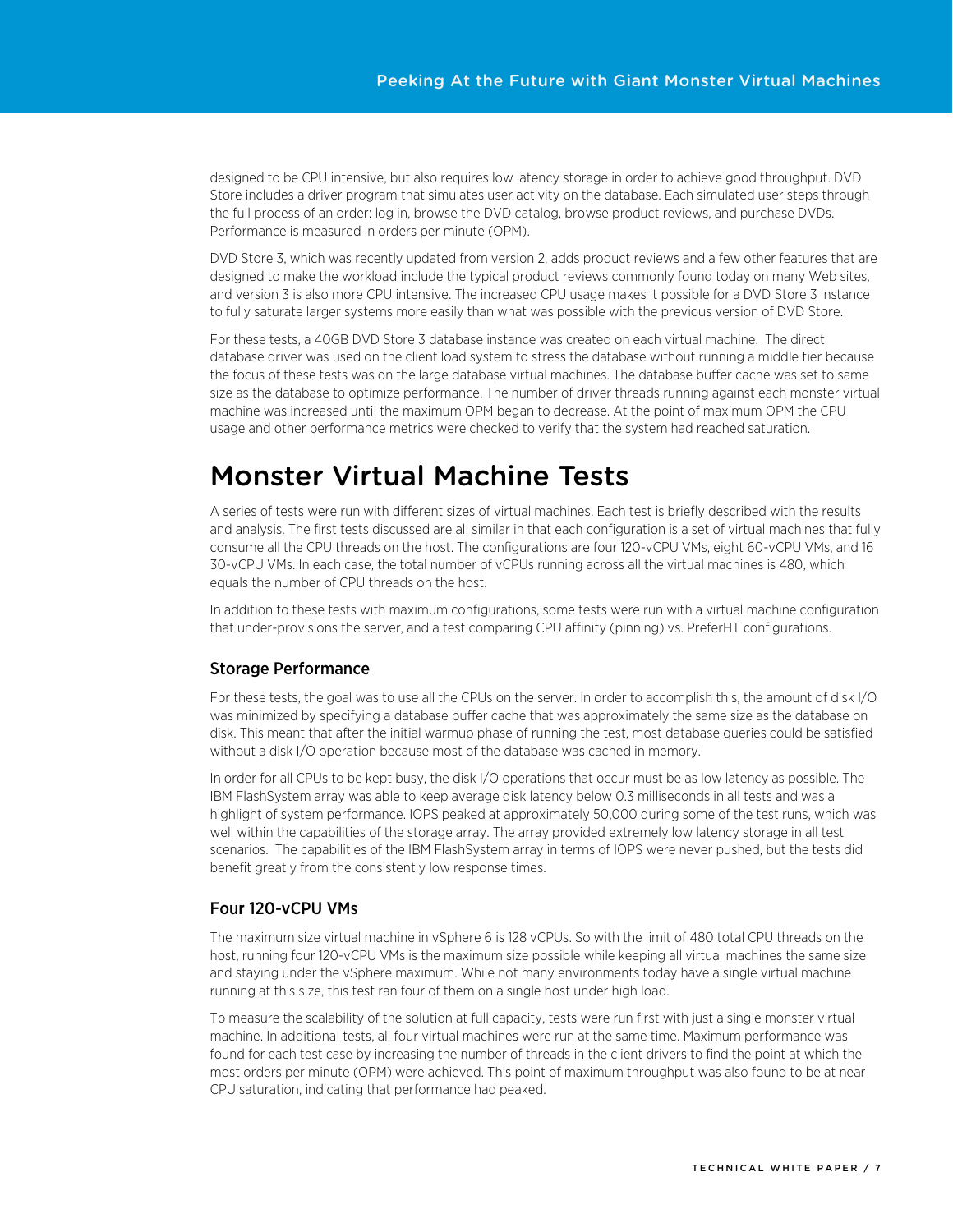designed to be CPU intensive, but also requires low latency storage in order to achieve good throughput. DVD Store includes a driver program that simulates user activity on the database. Each simulated user steps through the full process of an order: log in, browse the DVD catalog, browse product reviews, and purchase DVDs. Performance is measured in orders per minute (OPM).

DVD Store 3, which was recently updated from version 2, adds product reviews and a few other features that are designed to make the workload include the typical product reviews commonly found today on many Web sites, and version 3 is also more CPU intensive. The increased CPU usage makes it possible for a DVD Store 3 instance to fully saturate larger systems more easily than what was possible with the previous version of DVD Store.

For these tests, a 40GB DVD Store 3 database instance was created on each virtual machine. The direct database driver was used on the client load system to stress the database without running a middle tier because the focus of these tests was on the large database virtual machines. The database buffer cache was set to same size as the database to optimize performance. The number of driver threads running against each monster virtual machine was increased until the maximum OPM began to decrease. At the point of maximum OPM the CPU usage and other performance metrics were checked to verify that the system had reached saturation.

# <span id="page-6-0"></span>Monster Virtual Machine Tests

A series of tests were run with different sizes of virtual machines. Each test is briefly described with the results and analysis. The first tests discussed are all similar in that each configuration is a set of virtual machines that fully consume all the CPU threads on the host. The configurations are four 120-vCPU VMs, eight 60-vCPU VMs, and 16 30-vCPU VMs. In each case, the total number of vCPUs running across all the virtual machines is 480, which equals the number of CPU threads on the host.

In addition to these tests with maximum configurations, some tests were run with a virtual machine configuration that under-provisions the server, and a test comparing CPU affinity (pinning) vs. PreferHT configurations.

### <span id="page-6-1"></span>Storage Performance

For these tests, the goal was to use all the CPUs on the server. In order to accomplish this, the amount of disk I/O was minimized by specifying a database buffer cache that was approximately the same size as the database on disk. This meant that after the initial warmup phase of running the test, most database queries could be satisfied without a disk I/O operation because most of the database was cached in memory.

In order for all CPUs to be kept busy, the disk I/O operations that occur must be as low latency as possible. The IBM FlashSystem array was able to keep average disk latency below 0.3 milliseconds in all tests and was a highlight of system performance. IOPS peaked at approximately 50,000 during some of the test runs, which was well within the capabilities of the storage array. The array provided extremely low latency storage in all test scenarios. The capabilities of the IBM FlashSystem array in terms of IOPS were never pushed, but the tests did benefit greatly from the consistently low response times.

### <span id="page-6-2"></span>Four 120-vCPU VMs

The maximum size virtual machine in vSphere 6 is 128 vCPUs. So with the limit of 480 total CPU threads on the host, running four 120-vCPU VMs is the maximum size possible while keeping all virtual machines the same size and staying under the vSphere maximum. While not many environments today have a single virtual machine running at this size, this test ran four of them on a single host under high load.

To measure the scalability of the solution at full capacity, tests were run first with just a single monster virtual machine. In additional tests, all four virtual machines were run at the same time. Maximum performance was found for each test case by increasing the number of threads in the client drivers to find the point at which the most orders per minute (OPM) were achieved. This point of maximum throughput was also found to be at near CPU saturation, indicating that performance had peaked.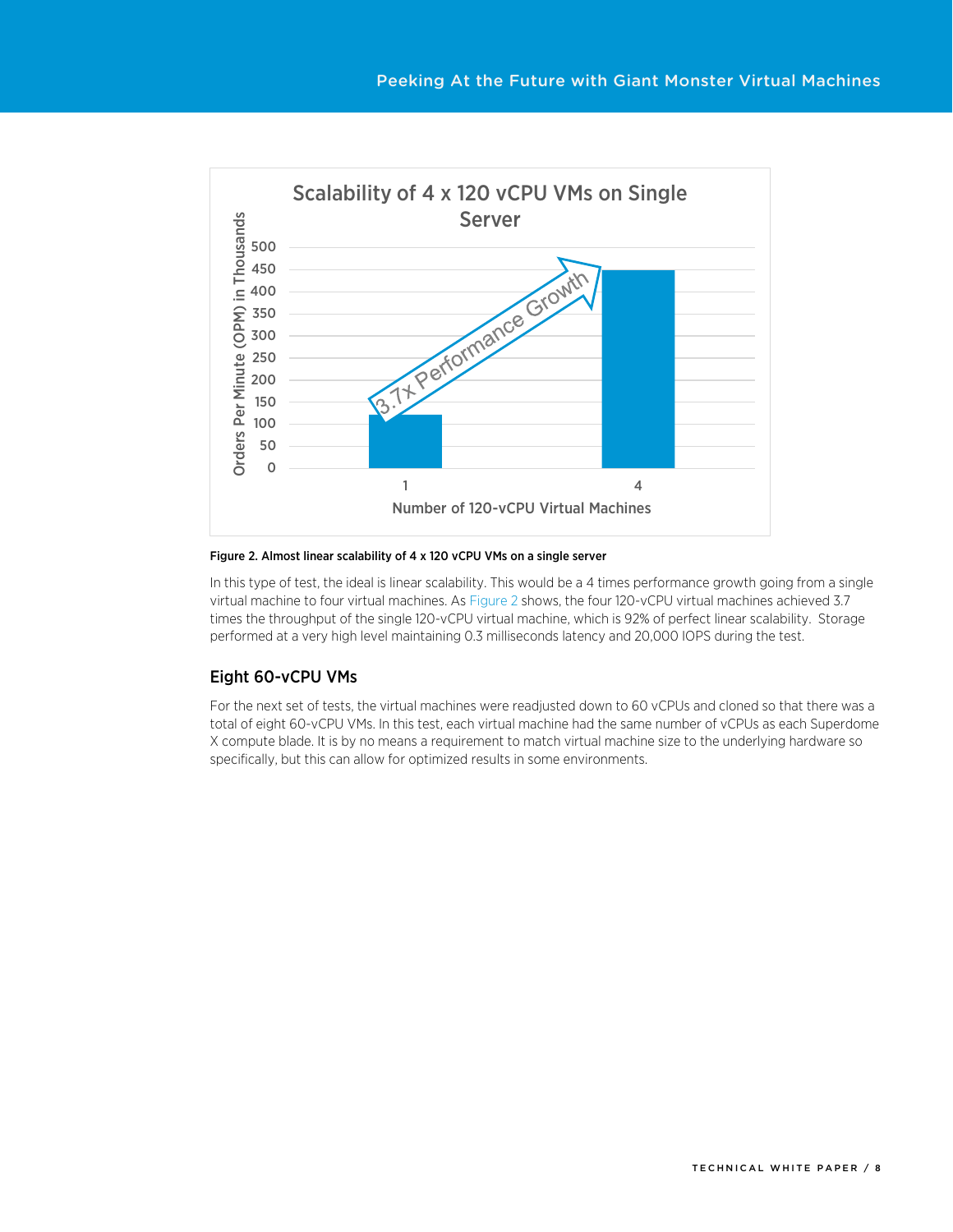

#### <span id="page-7-1"></span>Figure 2. Almost linear scalability of 4 x 120 vCPU VMs on a single server

In this type of test, the ideal is linear scalability. This would be a 4 times performance growth going from a single virtual machine to four virtual machines. A[s Figure 2](#page-7-1) shows, the four 120-vCPU virtual machines achieved 3.7 times the throughput of the single 120-vCPU virtual machine, which is 92% of perfect linear scalability. Storage performed at a very high level maintaining 0.3 milliseconds latency and 20,000 IOPS during the test.

#### <span id="page-7-0"></span>Eight 60-vCPU VMs

For the next set of tests, the virtual machines were readjusted down to 60 vCPUs and cloned so that there was a total of eight 60-vCPU VMs. In this test, each virtual machine had the same number of vCPUs as each Superdome X compute blade. It is by no means a requirement to match virtual machine size to the underlying hardware so specifically, but this can allow for optimized results in some environments.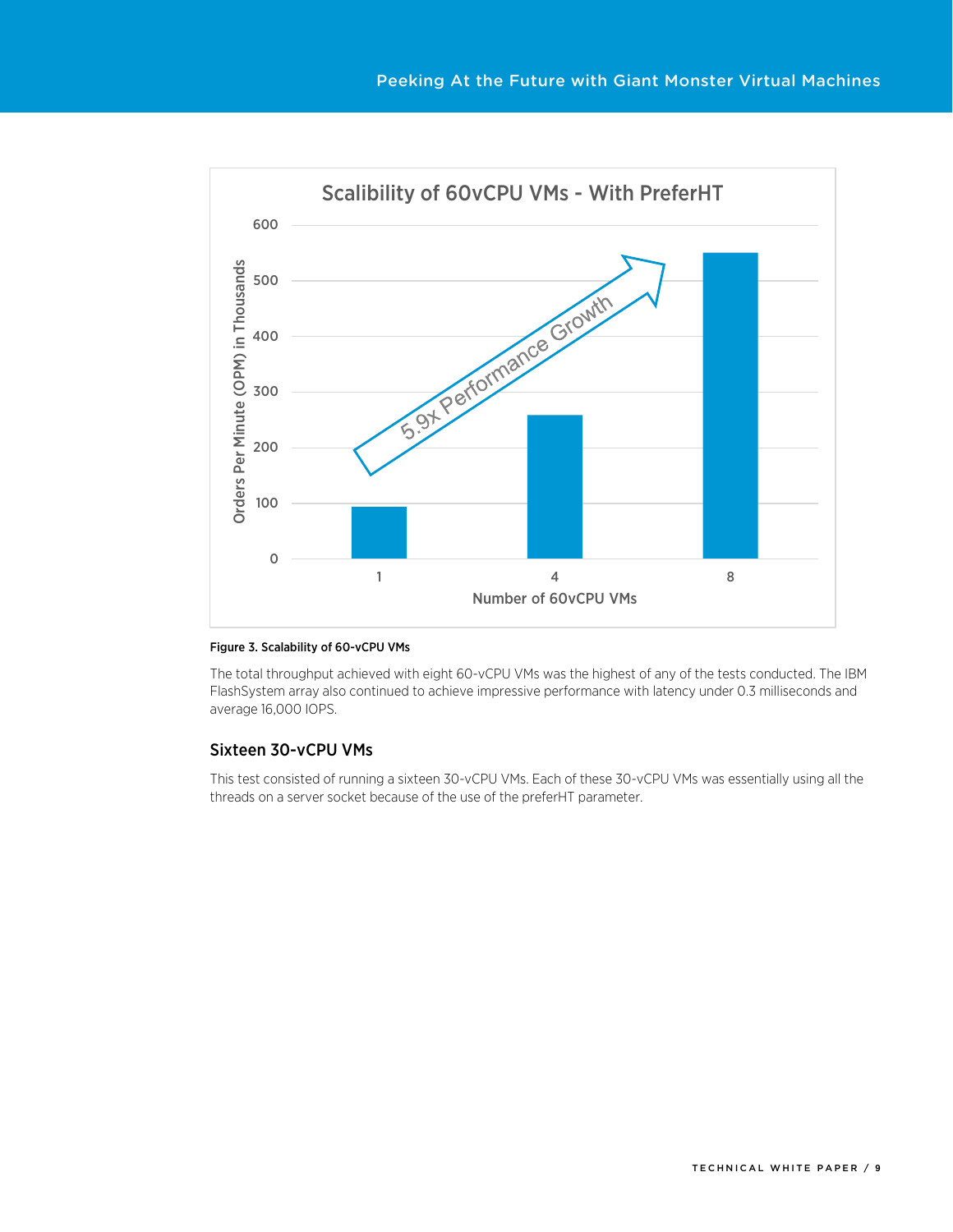

#### Figure 3. Scalability of 60-vCPU VMs

The total throughput achieved with eight 60-vCPU VMs was the highest of any of the tests conducted. The IBM FlashSystem array also continued to achieve impressive performance with latency under 0.3 milliseconds and average 16,000 IOPS.

#### <span id="page-8-0"></span>Sixteen 30-vCPU VMs

This test consisted of running a sixteen 30-vCPU VMs. Each of these 30-vCPU VMs was essentially using all the threads on a server socket because of the use of the preferHT parameter.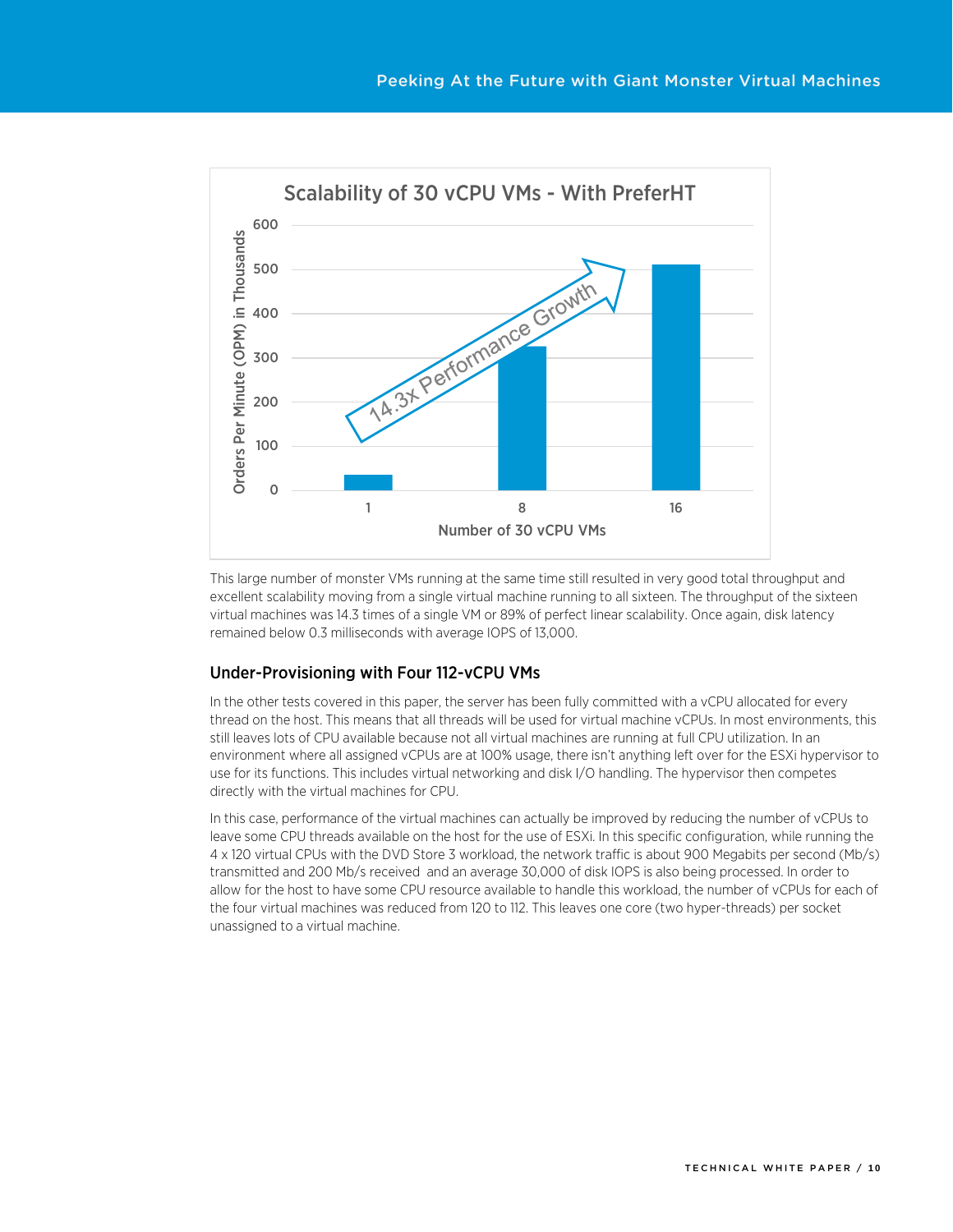

This large number of monster VMs running at the same time still resulted in very good total throughput and excellent scalability moving from a single virtual machine running to all sixteen. The throughput of the sixteen virtual machines was 14.3 times of a single VM or 89% of perfect linear scalability. Once again, disk latency remained below 0.3 milliseconds with average IOPS of 13,000.

### <span id="page-9-0"></span>Under-Provisioning with Four 112-vCPU VMs

In the other tests covered in this paper, the server has been fully committed with a vCPU allocated for every thread on the host. This means that all threads will be used for virtual machine vCPUs. In most environments, this still leaves lots of CPU available because not all virtual machines are running at full CPU utilization. In an environment where all assigned vCPUs are at 100% usage, there isn't anything left over for the ESXi hypervisor to use for its functions. This includes virtual networking and disk I/O handling. The hypervisor then competes directly with the virtual machines for CPU.

In this case, performance of the virtual machines can actually be improved by reducing the number of vCPUs to leave some CPU threads available on the host for the use of ESXi. In this specific configuration, while running the 4 x 120 virtual CPUs with the DVD Store 3 workload, the network traffic is about 900 Megabits per second (Mb/s) transmitted and 200 Mb/s received and an average 30,000 of disk IOPS is also being processed. In order to allow for the host to have some CPU resource available to handle this workload, the number of vCPUs for each of the four virtual machines was reduced from 120 to 112. This leaves one core (two hyper-threads) per socket unassigned to a virtual machine.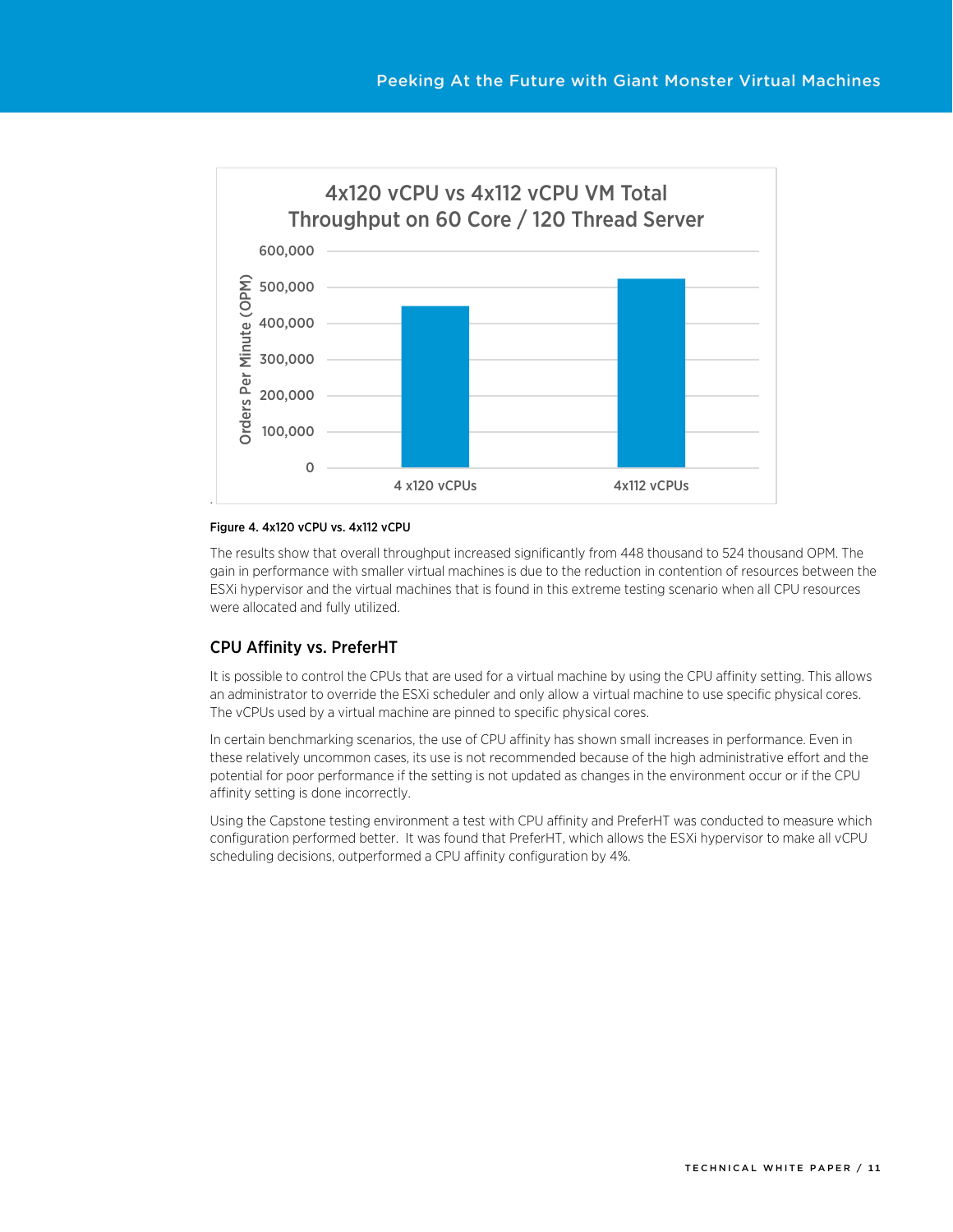

#### Figure 4. 4x120 vCPU vs. 4x112 vCPU

The results show that overall throughput increased significantly from 448 thousand to 524 thousand OPM. The gain in performance with smaller virtual machines is due to the reduction in contention of resources between the ESXi hypervisor and the virtual machines that is found in this extreme testing scenario when all CPU resources were allocated and fully utilized.

#### <span id="page-10-0"></span>CPU Affinity vs. PreferHT

It is possible to control the CPUs that are used for a virtual machine by using the CPU affinity setting. This allows an administrator to override the ESXi scheduler and only allow a virtual machine to use specific physical cores. The vCPUs used by a virtual machine are pinned to specific physical cores.

In certain benchmarking scenarios, the use of CPU affinity has shown small increases in performance. Even in these relatively uncommon cases, its use is not recommended because of the high administrative effort and the potential for poor performance if the setting is not updated as changes in the environment occur or if the CPU affinity setting is done incorrectly.

Using the Capstone testing environment a test with CPU affinity and PreferHT was conducted to measure which configuration performed better. It was found that PreferHT, which allows the ESXi hypervisor to make all vCPU scheduling decisions, outperformed a CPU affinity configuration by 4%.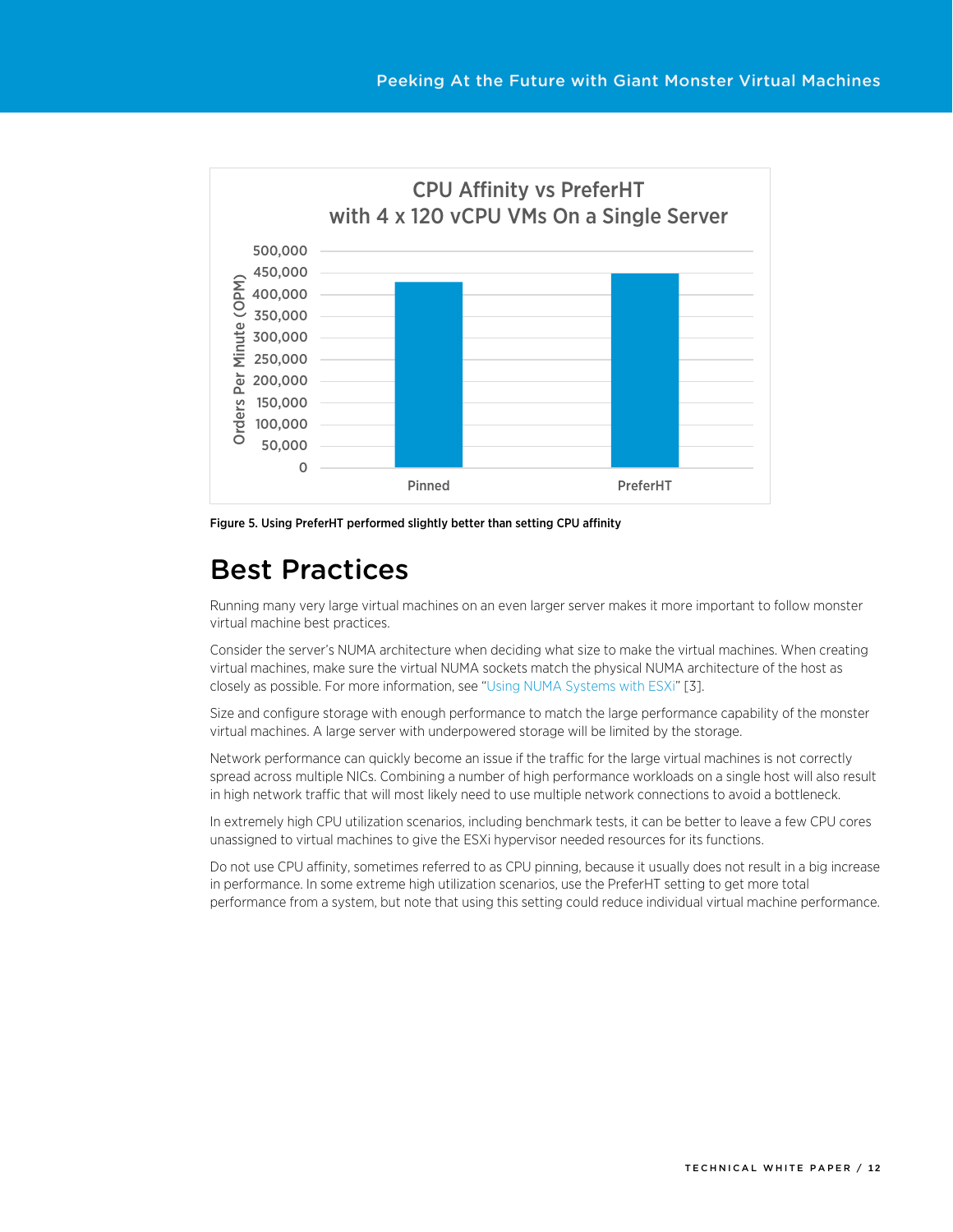

Figure 5. Using PreferHT performed slightly better than setting CPU affinity

# <span id="page-11-0"></span>Best Practices

Running many very large virtual machines on an even larger server makes it more important to follow monster virtual machine best practices.

Consider the server's NUMA architecture when deciding what size to make the virtual machines. When creating virtual machines, make sure the virtual NUMA sockets match the physical NUMA architecture of the host as closely as possible. For more information, see ["Using NUMA Systems with ESXi"](http://pubs.vmware.com/vsphere-60/index.jsp?topic=%2Fcom.vmware.vsphere.resmgmt.doc%2FGUID-7E0C6311-5B27-408E-8F51-E4F1FC997283.html) [3].

Size and configure storage with enough performance to match the large performance capability of the monster virtual machines. A large server with underpowered storage will be limited by the storage.

Network performance can quickly become an issue if the traffic for the large virtual machines is not correctly spread across multiple NICs. Combining a number of high performance workloads on a single host will also result in high network traffic that will most likely need to use multiple network connections to avoid a bottleneck.

In extremely high CPU utilization scenarios, including benchmark tests, it can be better to leave a few CPU cores unassigned to virtual machines to give the ESXi hypervisor needed resources for its functions.

<span id="page-11-1"></span>Do not use CPU affinity, sometimes referred to as CPU pinning, because it usually does not result in a big increase in performance. In some extreme high utilization scenarios, use the PreferHT setting to get more total performance from a system, but note that using this setting could reduce individual virtual machine performance.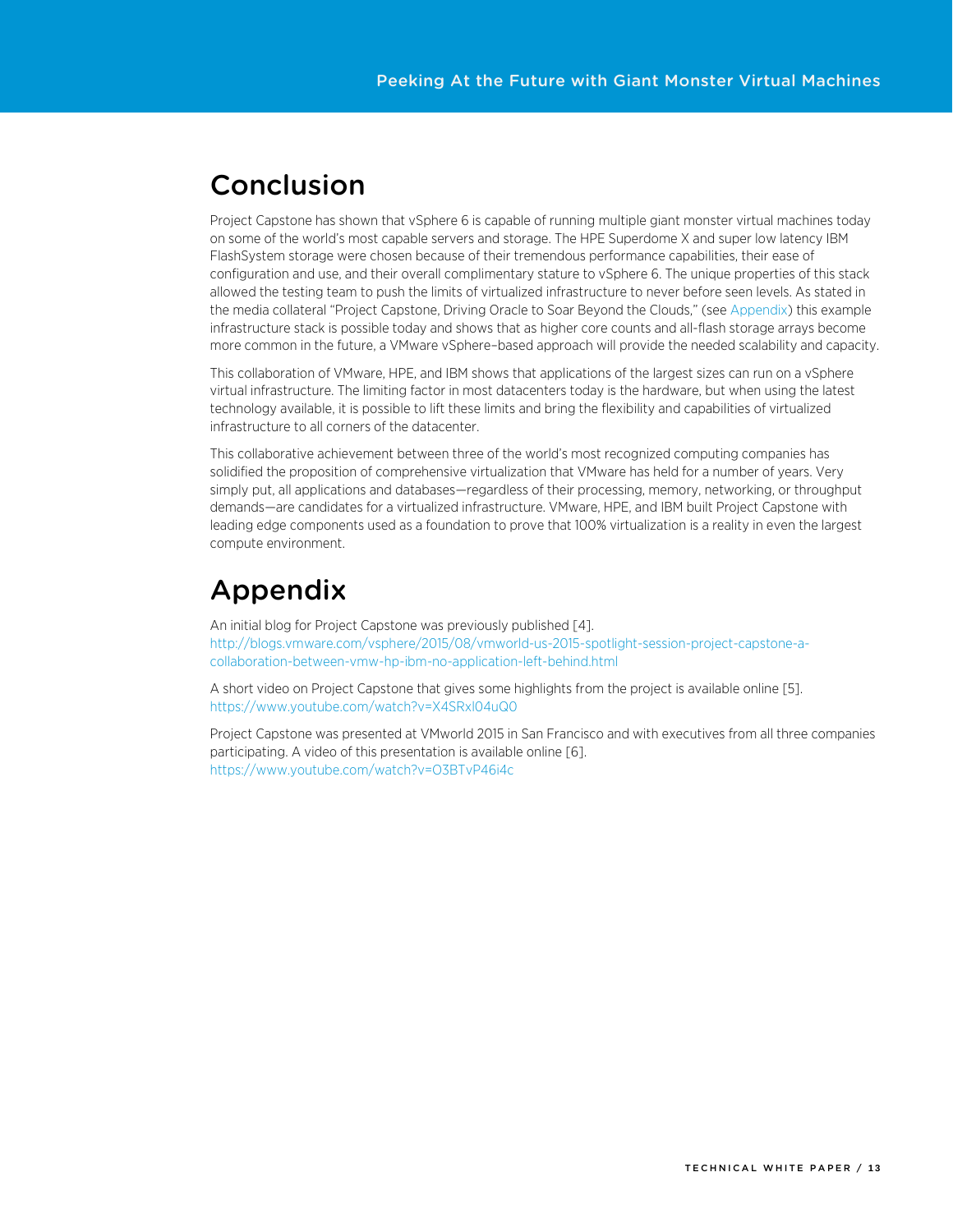# Conclusion

Project Capstone has shown that vSphere 6 is capable of running multiple giant monster virtual machines today on some of the world's most capable servers and storage. The HPE Superdome X and super low latency IBM FlashSystem storage were chosen because of their tremendous performance capabilities, their ease of configuration and use, and their overall complimentary stature to vSphere 6. The unique properties of this stack allowed the testing team to push the limits of virtualized infrastructure to never before seen levels. As stated in the media collateral "Project Capstone, Driving Oracle to Soar Beyond the Clouds," (se[e Appendix\)](#page-12-0) this example infrastructure stack is possible today and shows that as higher core counts and all-flash storage arrays become more common in the future, a VMware vSphere–based approach will provide the needed scalability and capacity.

This collaboration of VMware, HPE, and IBM shows that applications of the largest sizes can run on a vSphere virtual infrastructure. The limiting factor in most datacenters today is the hardware, but when using the latest technology available, it is possible to lift these limits and bring the flexibility and capabilities of virtualized infrastructure to all corners of the datacenter.

This collaborative achievement between three of the world's most recognized computing companies has solidified the proposition of comprehensive virtualization that VMware has held for a number of years. Very simply put, all applications and databases—regardless of their processing, memory, networking, or throughput demands—are candidates for a virtualized infrastructure. VMware, HPE, and IBM built Project Capstone with leading edge components used as a foundation to prove that 100% virtualization is a reality in even the largest compute environment.

# <span id="page-12-0"></span>Appendix

An initial blog for Project Capstone was previously published [\[4\]](#page-13-2). [http://blogs.vmware.com/vsphere/2015/08/vmworld-us-2015-spotlight-session-project-capstone-a](http://blogs.vmware.com/vsphere/2015/08/vmworld-us-2015-spotlight-session-project-capstone-a-collaboration-between-vmw-hp-ibm-no-application-left-behind.html)[collaboration-between-vmw-hp-ibm-no-application-left-behind.html](http://blogs.vmware.com/vsphere/2015/08/vmworld-us-2015-spotlight-session-project-capstone-a-collaboration-between-vmw-hp-ibm-no-application-left-behind.html) 

A short video on Project Capstone that gives some highlights from the project is available online [\[5\]](#page-13-3). <https://www.youtube.com/watch?v=X4SRxl04uQ0>

<span id="page-12-1"></span>Project Capstone was presented at VMworld 2015 in San Francisco and with executives from all three companies participating. A video of this presentation is available online [\[6\]](#page-13-4). <https://www.youtube.com/watch?v=O3BTvP46i4c>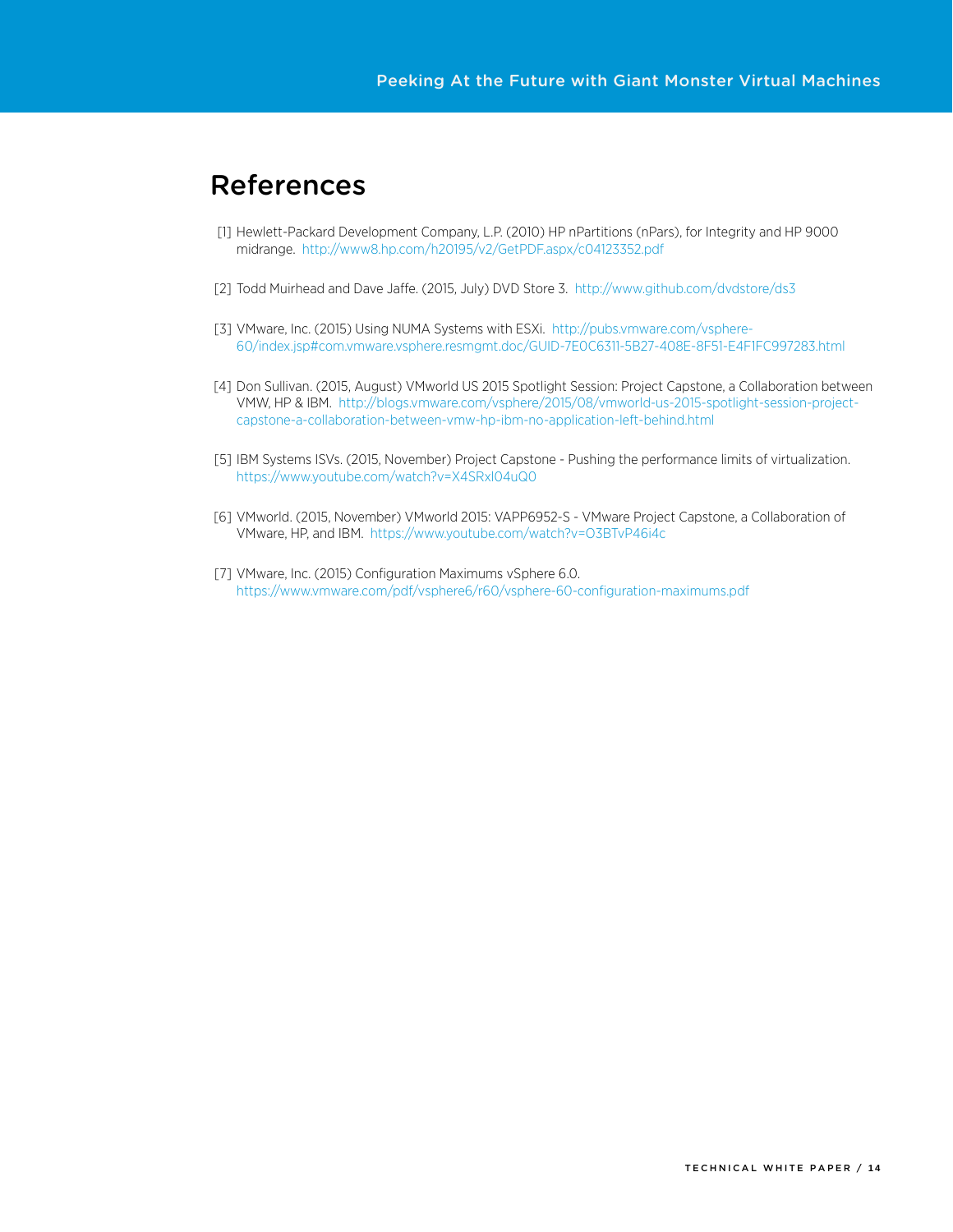# References

- <span id="page-13-0"></span>[1] Hewlett-Packard Development Company, L.P. (2010) HP nPartitions (nPars), for Integrity and HP 9000 midrange.<http://www8.hp.com/h20195/v2/GetPDF.aspx/c04123352.pdf>
- <span id="page-13-1"></span>[2] Todd Muirhead and Dave Jaffe. (2015, July) DVD Store 3.<http://www.github.com/dvdstore/ds3>
- [3] VMware, Inc. (2015) Using NUMA Systems with ESXi. [http://pubs.vmware.com/vsphere-](http://pubs.vmware.com/vsphere-60/index.jsp#com.vmware.vsphere.resmgmt.doc/GUID-7E0C6311-5B27-408E-8F51-E4F1FC997283.html)[60/index.jsp#com.vmware.vsphere.resmgmt.doc/GUID-7E0C6311-5B27-408E-8F51-E4F1FC997283.html](http://pubs.vmware.com/vsphere-60/index.jsp#com.vmware.vsphere.resmgmt.doc/GUID-7E0C6311-5B27-408E-8F51-E4F1FC997283.html)
- <span id="page-13-2"></span>[4] Don Sullivan. (2015, August) VMworld US 2015 Spotlight Session: Project Capstone, a Collaboration between VMW, HP & IBM. [http://blogs.vmware.com/vsphere/2015/08/vmworld-us-2015-spotlight-session-project](http://blogs.vmware.com/vsphere/2015/08/vmworld-us-2015-spotlight-session-project-capstone-a-collaboration-between-vmw-hp-ibm-no-application-left-behind.html)[capstone-a-collaboration-between-vmw-hp-ibm-no-application-left-behind.html](http://blogs.vmware.com/vsphere/2015/08/vmworld-us-2015-spotlight-session-project-capstone-a-collaboration-between-vmw-hp-ibm-no-application-left-behind.html)
- <span id="page-13-3"></span>[5] IBM Systems ISVs. (2015, November) Project Capstone - Pushing the performance limits of virtualization. <https://www.youtube.com/watch?v=X4SRxl04uQ0>
- <span id="page-13-4"></span>[6] VMworld. (2015, November) VMworld 2015: VAPP6952-S - VMware Project Capstone, a Collaboration of VMware, HP, and IBM. <https://www.youtube.com/watch?v=O3BTvP46i4c>
- [7] VMware, Inc. (2015) Configuration Maximums vSphere 6.0. <https://www.vmware.com/pdf/vsphere6/r60/vsphere-60-configuration-maximums.pdf>